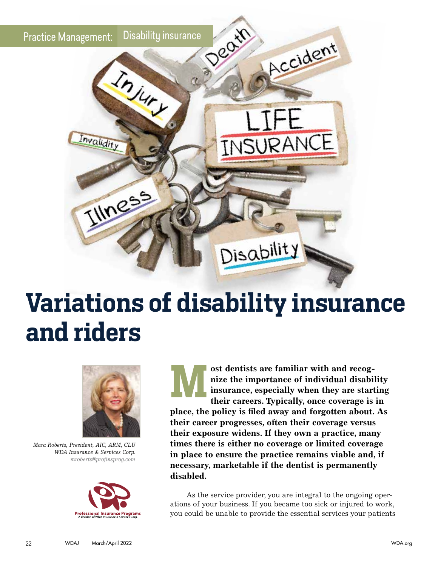

## **Variations of disability insurance and riders**



*Mara Roberts, President, AIC, ARM, CLU WDA Insurance & Services Corp. mroberts@profinsprog.com*



**M** ost dentists are familiar with and recog-<br>
nize the importance of individual disability<br>
insurance, especially when they are starting<br>
their careers. Typically, once coverage is in **nize the importance of individual disability insurance, especially when they are starting place, the policy is filed away and forgotten about. As their career progresses, often their coverage versus their exposure widens. If they own a practice, many times there is either no coverage or limited coverage in place to ensure the practice remains viable and, if necessary, marketable if the dentist is permanently disabled.**

As the service provider, you are integral to the ongoing operations of your business. If you became too sick or injured to work, you could be unable to provide the essential services your patients